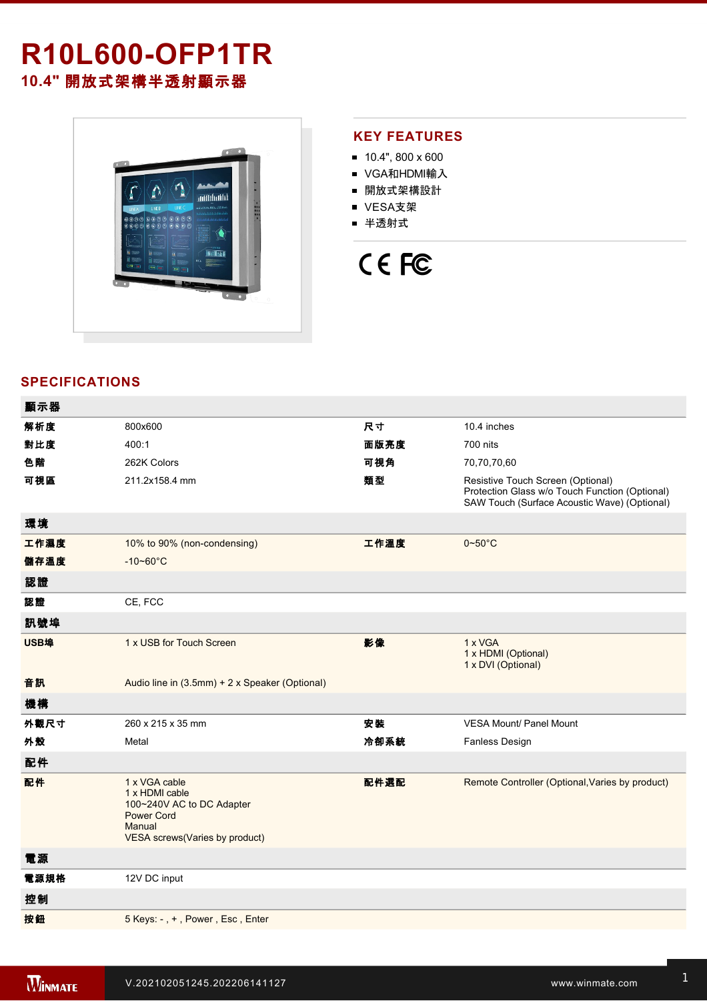## **R10L600-OFP1TR 10.4"** 開放式架構半透射顯示器

 $\Lambda$ Andr  $\boldsymbol{\Lambda}$ antibilità ♦ inina p

#### **KEY FEATURES**

- $10.4$ ", 800 x 600
- VGA和HDMI輸入
- 開放式架構設計
- VESA支架
- 半透射式

# CE FC

### **SPECIFICATIONS**

| 顯示器  |                                                                                                                               |      |                                                                                                                                     |
|------|-------------------------------------------------------------------------------------------------------------------------------|------|-------------------------------------------------------------------------------------------------------------------------------------|
| 解析度  | 800x600                                                                                                                       | 尺寸   | 10.4 inches                                                                                                                         |
| 對比度  | 400:1                                                                                                                         | 面版亮度 | 700 nits                                                                                                                            |
| 色階   | 262K Colors                                                                                                                   | 可視角  | 70,70,70,60                                                                                                                         |
| 可視區  | 211.2x158.4 mm                                                                                                                | 類型   | Resistive Touch Screen (Optional)<br>Protection Glass w/o Touch Function (Optional)<br>SAW Touch (Surface Acoustic Wave) (Optional) |
| 環境   |                                                                                                                               |      |                                                                                                                                     |
| 工作濕度 | 10% to 90% (non-condensing)                                                                                                   | 工作溫度 | $0 - 50^{\circ}$ C                                                                                                                  |
| 儲存溫度 | $-10 - 60^{\circ}C$                                                                                                           |      |                                                                                                                                     |
| 認證   |                                                                                                                               |      |                                                                                                                                     |
| 認證   | CE, FCC                                                                                                                       |      |                                                                                                                                     |
| 訊號埠  |                                                                                                                               |      |                                                                                                                                     |
| USB埠 | 1 x USB for Touch Screen                                                                                                      | 影像   | 1 x VGA<br>1 x HDMI (Optional)<br>1 x DVI (Optional)                                                                                |
| 音訊   | Audio line in (3.5mm) + 2 x Speaker (Optional)                                                                                |      |                                                                                                                                     |
| 機構   |                                                                                                                               |      |                                                                                                                                     |
| 外觀尺寸 | 260 x 215 x 35 mm                                                                                                             | 安装   | <b>VESA Mount/ Panel Mount</b>                                                                                                      |
| 外殼   | Metal                                                                                                                         | 冷卻系統 | <b>Fanless Design</b>                                                                                                               |
| 配件   |                                                                                                                               |      |                                                                                                                                     |
| 配件   | 1 x VGA cable<br>1 x HDMI cable<br>100~240V AC to DC Adapter<br><b>Power Cord</b><br>Manual<br>VESA screws(Varies by product) | 配件選配 | Remote Controller (Optional, Varies by product)                                                                                     |
| 電源   |                                                                                                                               |      |                                                                                                                                     |
| 電源規格 | 12V DC input                                                                                                                  |      |                                                                                                                                     |
| 控制   |                                                                                                                               |      |                                                                                                                                     |
| 按鈕   | 5 Keys: -, +, Power, Esc, Enter                                                                                               |      |                                                                                                                                     |
|      |                                                                                                                               |      |                                                                                                                                     |

**DIMENSIONS**  UNIT:MM